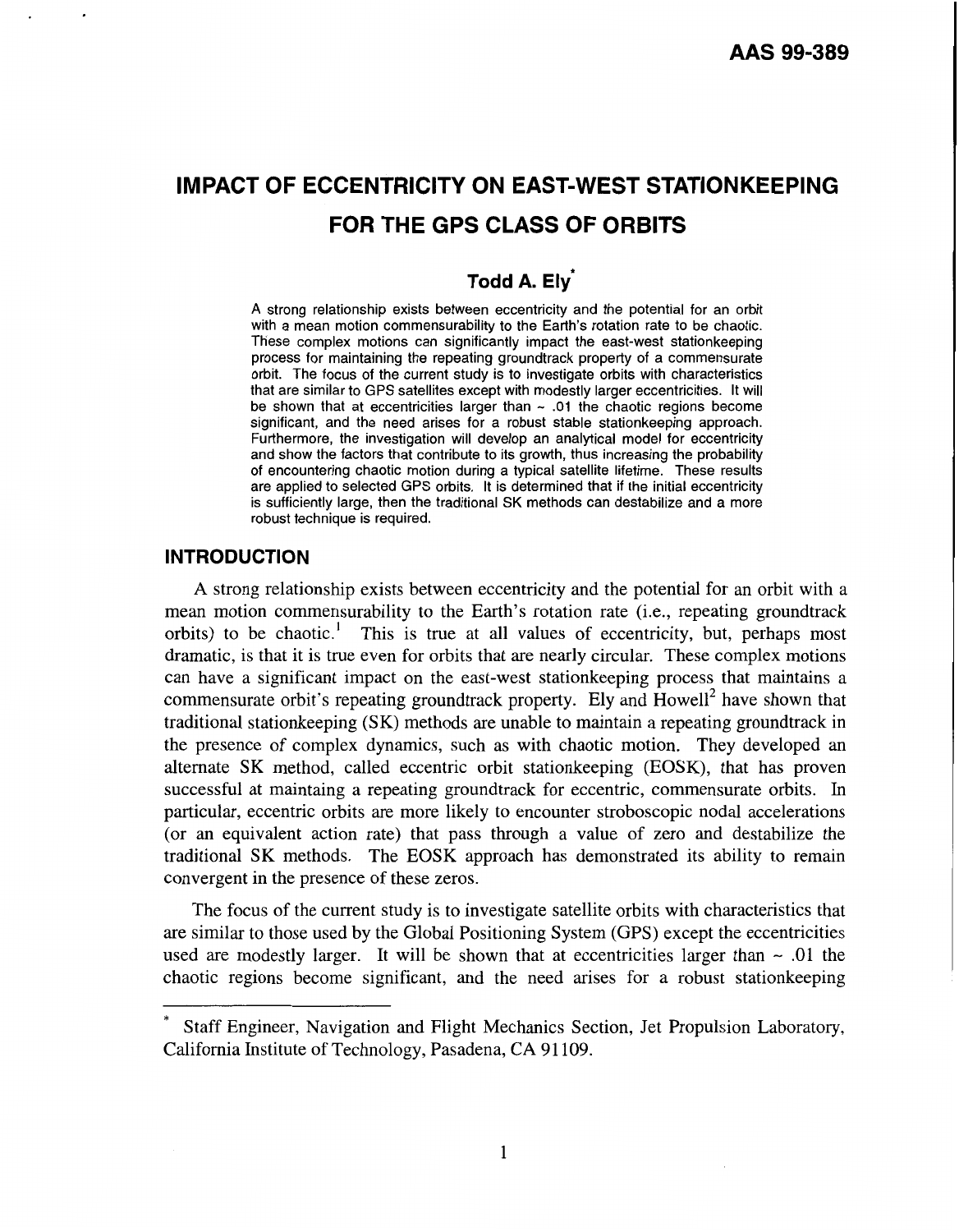# **IMPACT OF ECCENTRICITY ON EAST-WEST STATIONKEEPING FOR THE GPS CLASS OF ORBITS**

## **Todd A. Elv<sup>7</sup>**

**A** strong relationship exists between eccentricity and the potential for an orbit with a mean motion commensurability to the Earth's rotation rate to be chaotic. These complex motions can significantly impact the east-west stationkeeping process for maintaining the repeating groundtrack property of a commensurate orbit. The focus of the current study is to investigate orbits with characteristics that are similar to GPS satellites except with modestly larger eccentricities. **It** will be shown that at eccentricities larger than - **.01** the chaotic regions become significant, and the need arises for a robust stable stationkeeping approach. Furthermore, the investigation will develop an analytical model for eccentricity and show the factors that contribute to its growth, thus increasing the probability of encountering chaotic motion during a typical satellite lifetime. These results are applied to selected GPS orbits. It is determined that if the initial eccentricity is sufficiently large, then the traditional SK methods can destabilize and a more robust technique is required.

## **INTRODUCTION**

**A** strong relationship exists between eccentricity and the potential for an orbit with a mean motion commensurability to the Earth's rotation rate (i.e., repeating groundtrack orbits) to be chaotic.' This is true at all values of eccentricity, but, perhaps most dramatic, is that it is true even for orbits that are nearly circular. These complex motions can have a significant impact on the east-west stationkeeping process that maintains a commensurate orbit's repeating groundtrack property. Ely and Howell<sup>2</sup> have shown that traditional stationkeeping (SK) methods are unable to maintain a repeating groundtrack in the presence of complex dynamics, such as with chaotic motion. They developed an alternate **SK** method, called eccentric orbit stationkeeping (EOSK), that has proven successful at maintaing a repeating groundtrack for eccentric, commensurate orbits. In particular, eccentric orbits are more likely to encounter stroboscopic nodal accelerations (or an equivalent action rate) that pass through a value of zero and destabilize the traditional **SK** methods. The EOSK approach has demonstrated its ability to remain convergent in the presence of these zeros.

The focus of the current study is to investigate satellite orbits with characteristics that are similar to those used by the Global Positioning System (GPS) except the eccentricities used are modestly larger. It will be shown that at eccentricities larger than  $\sim$  .01 the chaotic regions become significant, and the need arises for a robust stationkeeping

Staff Engineer, Navigation and Flight Mechanics Section, Jet Propulsion Laboratory, California Institute of Technology, Pasadena, CA 91 109.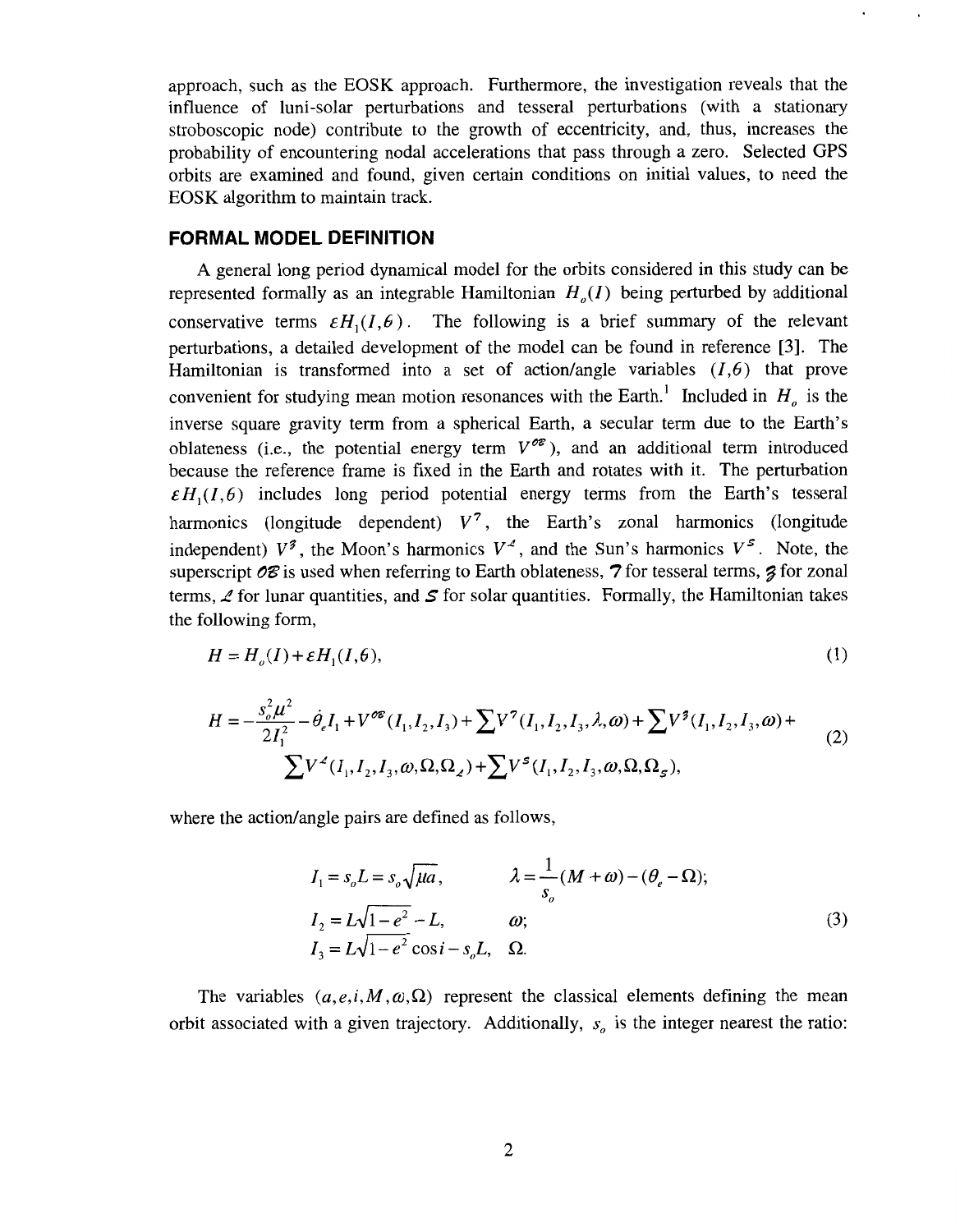<span id="page-1-0"></span>approach, such as the EOSK approach. Furthermore, the investigation reveals that the influence of luni-solar perturbations and tesseral perturbations (with a stationary stroboscopic node) contribute to the growth of eccentricity, and, thus, increases the probability of encountering nodal accelerations that pass through a zero. Selected GPS orbits are examined and found, given certain conditions on initial values, to need the EOSK algorithm to maintain track.

### **FORMAL MODEL DEFINITION**

**A** general long period dynamical model for the orbits considered in this study can be represented formally as an integrable Hamiltonian  $H_a(I)$  being perturbed by additional conservative terms  $\epsilon H_1(I, \epsilon)$ . The following is a brief summary of the relevant perturbations, a detailed development of the model can be found in reference [3]. The Hamiltonian is transformed into a set of action/angle variables  $(I, \theta)$  that prove convenient for studying mean motion resonances with the Earth.<sup>1</sup> Included in  $H<sub>o</sub>$  is the inverse square gravity term from a spherical Earth, a secular term due to the Earth's oblateness (i.e., the potential energy term  $V^{\circ\epsilon}$ ), and an additional term introduced because the reference frame is fixed in the Earth and rotates with it. The perturbation  $\epsilon H_1(I, \theta)$  includes long period potential energy terms from the Earth's tesseral harmonics (longitude dependent)  $V^7$ , the Earth's zonal harmonics (longitude independent)  $V^{\sharp}$ , the Moon's harmonics  $V^{\sharp}$ , and the Sun's harmonics  $V^{\sharp}$ . Note, the superscript *08* is used when referring to Earth oblateness, **7** for tesseral terms, *9* for zonal terms,  $\angle$  for lunar quantities, and  $\angle$  for solar quantities. Formally, the Hamiltonian takes the following form,

$$
H = H_o(I) + \varepsilon H_1(I, \theta),\tag{1}
$$

$$
H = -\frac{s_o^2 \mu^2}{2I_1^2} - \dot{\theta}_e I_1 + V^{\circ \varepsilon} (I_1, I_2, I_3) + \sum V^7 (I_1, I_2, I_3, \lambda, \omega) + \sum V^7 (I_1, I_2, I_3, \omega) + \sum V^4 (I_1, I_2, I_3, \omega, \Omega, \Omega_z) + \sum V^5 (I_1, I_2, I_3, \omega, \Omega, \Omega_z),
$$
\n(2)

where the action/angle pairs are defined as follows,

$$
I_1 = s_o L = s_o \sqrt{\mu a}, \qquad \lambda = \frac{1}{s_o} (M + \omega) - (\theta_e - \Omega);
$$
  
\n
$$
I_2 = L\sqrt{1 - e^2} - L, \qquad \omega; \qquad (3)
$$
  
\n
$$
I_3 = L\sqrt{1 - e^2} \cos i - s_o L, \quad \Omega.
$$

The variables  $(a, e, i, M, \omega, \Omega)$  represent the classical elements defining the mean orbit associated with a given trajectory. Additionally, *s,* is the integer nearest the ratio: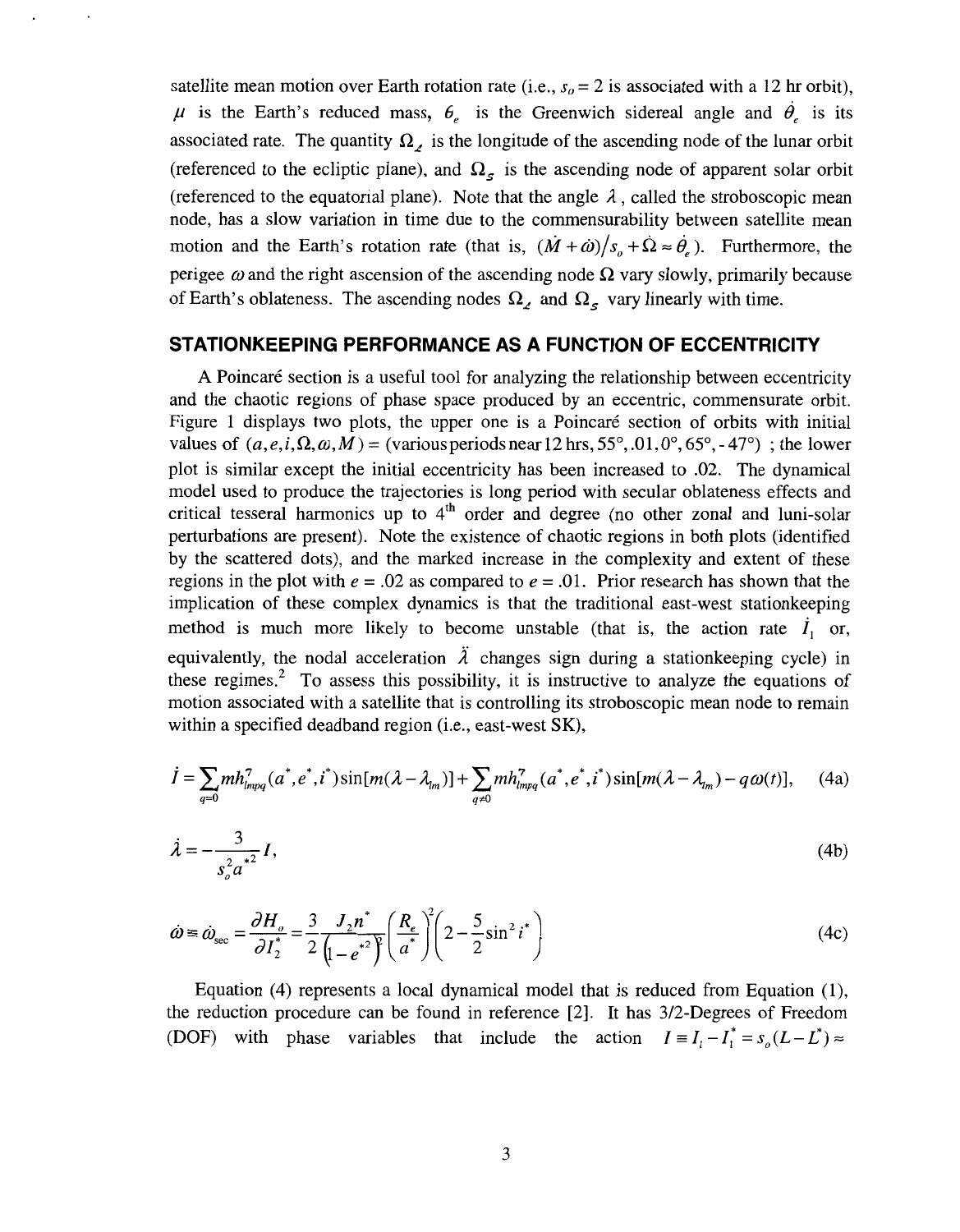<span id="page-2-0"></span>satellite mean motion over Earth rotation rate (i.e.,  $s<sub>o</sub> = 2$  is associated with a 12 hr orbit),  $\mu$  is the Earth's reduced mass,  $\theta_e$  is the Greenwich sidereal angle and  $\dot{\theta}_e$  is its associated rate. The quantity  $\Omega_{\ell}$  is the longitude of the ascending node of the lunar orbit (referenced to the ecliptic plane), and  $\Omega_{\rm s}$  is the ascending node of apparent solar orbit (referenced to the equatorial plane). Note that the angle  $\lambda$ , called the stroboscopic mean node, has a slow variation in time due to the commensurability between satellite mean motion and the Earth's rotation rate (that is,  $(\dot{M} + \dot{\omega})/s_a + \dot{\Omega} \approx \dot{\theta}_e$ ). Furthermore, the perigee  $\omega$  and the right ascension of the ascending node  $\Omega$  vary slowly, primarily because of Earth's oblateness. The ascending nodes  $\Omega$ , and  $\Omega$ , vary linearly with time.

#### **STATIONKEEPING PERFORMANCE AS A FUNCTION OF ECCENTRICITY**

**A** Poincare section is a useful tool for analyzing the relationship between eccentricity and the chaotic regions of phase space produced by an eccentric, commensurate orbit. Figure 1 displays two plots, the upper one is a Poincaré section of orbits with initial values of  $(a,e,i,\Omega,\omega,M)$  = (various periods near 12 hrs, 55°, .01, 0°, 65°, -47°); the lower plot is similar except the initial eccentricity has been increased to .02. The dynamical model used to produce the trajectories is long period with secular oblateness effects and critical tesseral harmonics up to 4'h order and degree (no other zonal and luni-solar perturbations are present). Note the existence of chaotic regions in both plots (identified by the scattered dots), and the marked increase in the complexity and extent of these regions in the plot with  $e = .02$  as compared to  $e = .01$ . Prior research has shown that the implication of these complex dynamics is that the traditional east-west stationkeeping method is much more likely to become unstable (that is, the action rate  $\dot{I}_1$  or, equivalently, the nodal acceleration  $\lambda$  changes sign during a station keeping cycle) in these regimes.<sup>2</sup> To assess this possibility, it is instructive to analyze the equations of motion associated with a satellite that is controlling its stroboscopic mean node to remain within a specified deadband region (i.e., east-west SK),

$$
\dot{I} = \sum_{q=0} m h_{lmpq}^7(a^*, e^*, i^*) \sin[m(\lambda - \lambda_{l_m})] + \sum_{q \neq 0} m h_{lmpq}^7(a^*, e^*, i^*) \sin[m(\lambda - \lambda_{l_m}) - q\omega(t)], \quad (4a)
$$

$$
\dot{\lambda} = -\frac{3}{s_o^2 a^{*2}} I,\tag{4b}
$$

$$
\dot{\omega} \equiv \dot{\omega}_{\rm sec} = \frac{\partial H_o}{\partial I_2^*} = \frac{3}{2} \frac{J_2 n^*}{\left(1 - e^{*2}\right)^2} \left(\frac{R_e}{a^*}\right)^2 \left(2 - \frac{5}{2}\sin^2 i^*\right)
$$
(4c)

Equation (4) represents a local dynamical model that is reduced from Equation (I), the reduction procedure can be found in reference [2]. It has 3/2-Degrees of Freedom (DOF) with phase variables that include the action  $I = I_1 - I_1^* = s_0(L - L^*) \approx$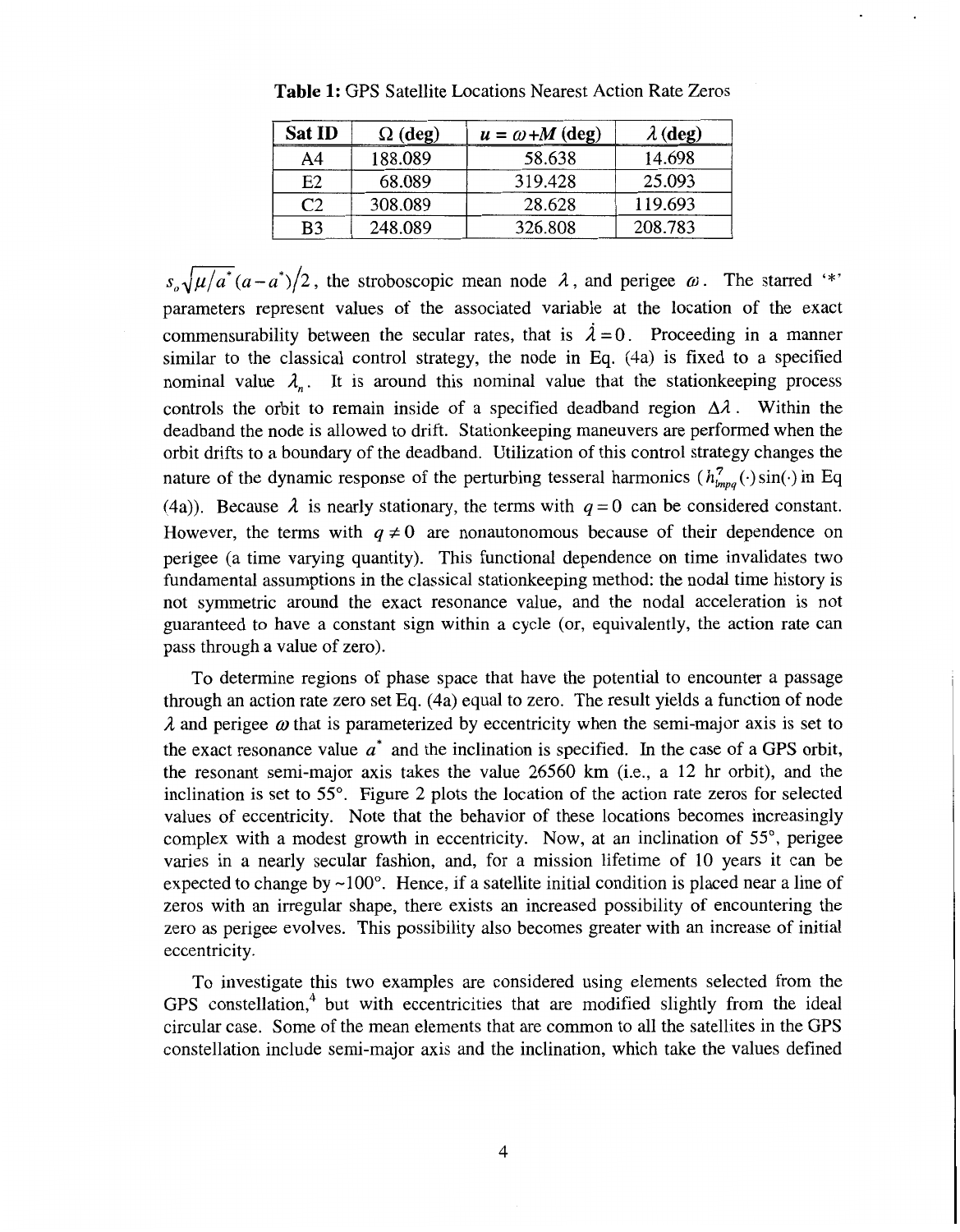| <b>Sat ID</b> | $\Omega$ (deg) | $u = \omega + M$ (deg) | $\lambda$ (deg) |
|---------------|----------------|------------------------|-----------------|
| A4            | 188.089        | 58.638                 | 14.698          |
| E2            | 68.089         | 319.428                | 25.093          |
| יר            | 308.089        | 28.628                 | 119.693         |
| B3            | 248.089        | 326.808                | 208.783         |

**Table 1:** GPS Satellite Locations Nearest Action Rate Zeros

 $s_n\sqrt{\mu/a^*}(a-a^*)/2$ , the stroboscopic mean node  $\lambda$ , and perigee  $\omega$ . The starred '\*' parameters represent values of the associated variable at the location of the exact commensurability between the secular rates, that is  $\lambda = 0$ . Proceeding in a manner similar to the classical control strategy, the node in **Eq.** (4a) is fixed to a specified nominal value  $\lambda$ <sub>n</sub>. It is around this nominal value that the station keeping process controls the orbit to remain inside of a specified deadband region  $\Delta \lambda$ . Within the deadband the node is allowed to drift. Stationkeeping maneuvers are performed when the orbit drifts to a boundary of the deadband. Utilization of this control strategy changes the nature of the dynamic response of the perturbing tesseral harmonics  $(h_{lmnq}^7(\cdot) \sin(\cdot)$  in Eq. (4a)). Because  $\lambda$  is nearly stationary, the terms with  $q=0$  can be considered constant. However, the terms with  $q \neq 0$  are nonautonomous because of their dependence on perigee (a time varying quantity). This functional dependence on time invalidates two fundamental assumptions in the classical stationkeeping method: the nodal time history is not symmetric around the exact resonance value, and the nodal acceleration is not guaranteed to have a constant sign within a cycle (or, equivalently, the action rate can pass through a value of zero).

To determine regions of phase space that have the potential to encounter a passage through an action rate zero set Eq. (4a) equal to zero. The result yields a function of node  $\lambda$  and perigee  $\omega$  that is parameterized by eccentricity when the semi-major axis is set to the exact resonance value *a\** and the inclination is specified. In the case of a GPS orbit, the resonant semi-major axis takes the value 26560 km (i.e., a 12 hr orbit), and the inclination is set to  $55^\circ$ . Figure 2 plots the location of the action rate zeros for selected values of eccentricity. Note that the behavior of these locations becomes increasingly complex with a modest growth in eccentricity. Now, at an inclination of 55°, perigee varies in a nearly secular fashion, and, for a mission lifetime of 10 years it can be expected to change by  $\sim 100^{\circ}$ . Hence, if a satellite initial condition is placed near a line of zeros with an irregular shape, there exists an increased possibility of encountering the zero as perigee evolves. This possibility also becomes greater with an increase of initial eccentricity.

To investigate this two examples are considered using elements selected from the GPS constellation, $4$  but with eccentricities that are modified slightly from the ideal circular case. Some of the mean elements that are common to all the satellites in the GPS constellation include semi-major axis and the inclination, which take the values defined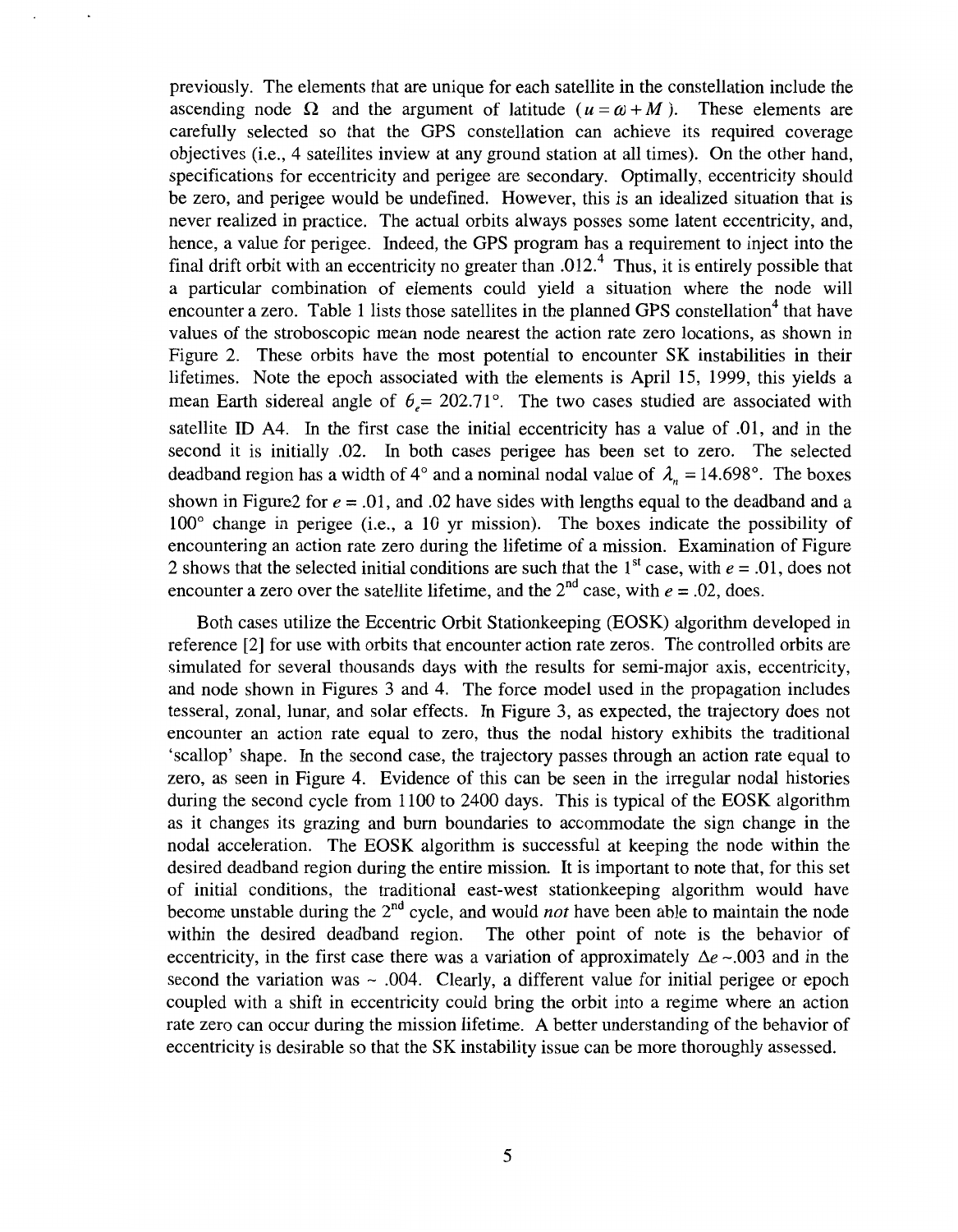previously. The elements that are unique for each satellite in the constellation include the ascending node  $\Omega$  and the argument of latitude  $(u = \omega + M)$ . These elements are carefully selected *so* that the GPS constellation can achieve its required coverage objectives (i.e., 4 satellites inview at any ground station at all times). On the other hand, specifications for eccentricity and perigee are secondary. Optimally, eccentricity should be zero, and perigee would be undefined. However, this is an idealized situation that is never realized in practice. The actual orbits always posses some latent eccentricity, and, hence, a value for perigee. Indeed, the GPS program has a requirement to inject into the final drift orbit with an eccentricity no greater than .012.<sup>4</sup> Thus, it is entirely possible that a particular combination of elements could yield a situation where the node will encounter a zero. Table 1 lists those satellites in the planned GPS constellation<sup>4</sup> that have values of the stroboscopic mean node nearest the action rate zero locations, as shown in Figure 2. These orbits have the most potential to encounter SK instabilities in their lifetimes. Note the epoch associated with the elements is April 15, 1999, this yields a mean Earth sidereal angle of  $\theta = 202.71^{\circ}$ . The two cases studied are associated with satellite ID A4. In the first case the initial eccentricity has a value of .01, and in the second it is initially .02. In both cases perigee has been set to zero. The selected deadband region has a width of  $4^{\circ}$  and a nominal nodal value of  $\lambda_n = 14.698^{\circ}$ . The boxes shown in Figure2 for  $e = .01$ , and .02 have sides with lengths equal to the deadband and a 100' change in perigee (i.e., a 10 yr mission). The boxes indicate the possibility of encountering an action rate zero during the lifetime of a mission. Examination of Figure 2 shows that the selected initial conditions are such that the  $1^{st}$  case, with  $e = .01$ , does not encounter a zero over the satellite lifetime, and the  $2<sup>nd</sup>$  case, with  $e = .02$ , does.

Both cases utilize the Eccentric Orbit Stationkeeping (EOSK) algorithm developed in reference [2] for use with orbits that encounter action rate zeros. The controlled orbits are simulated for several thousands days with the results for semi-major axis, eccentricity, and node shown in Figures 3 and 4. The force model used in the propagation includes tesseral, zonal, lunar, and solar effects. In Figure 3, as expected, the trajectory does not encounter an action rate equal to zero, thus the nodal history exhibits the traditional 'scallop' shape. In the second case, the trajectory passes through an action rate equal to zero, as seen in Figure 4. Evidence of this can be seen in the irregular nodal histories during the second cycle from 1100 to 2400 days. This is typical of the EOSK algorithm as it changes its grazing and burn boundaries to accommodate the sign change in the nodal acceleration. The EOSK algorithm is successful at keeping the node within the desired deadband region during the entire mission. It is important to note that, for this set of initial conditions, the traditional east-west stationkeeping algorithm would have become unstable during the 2"d cycle, and would *not* have been able to maintain the node within the desired deadband region. The other point of note is the behavior of eccentricity, in the first case there was a variation of approximately  $\Delta e \sim 0.003$  and in the second the variation was  $\sim$  .004. Clearly, a different value for initial perigee or epoch coupled with a shift in eccentricity could bring the orbit into a regime where an action rate zero can occur during the mission lifetime. A better understanding of the behavior of eccentricity is desirable so that the SK instability issue can be more thoroughly assessed.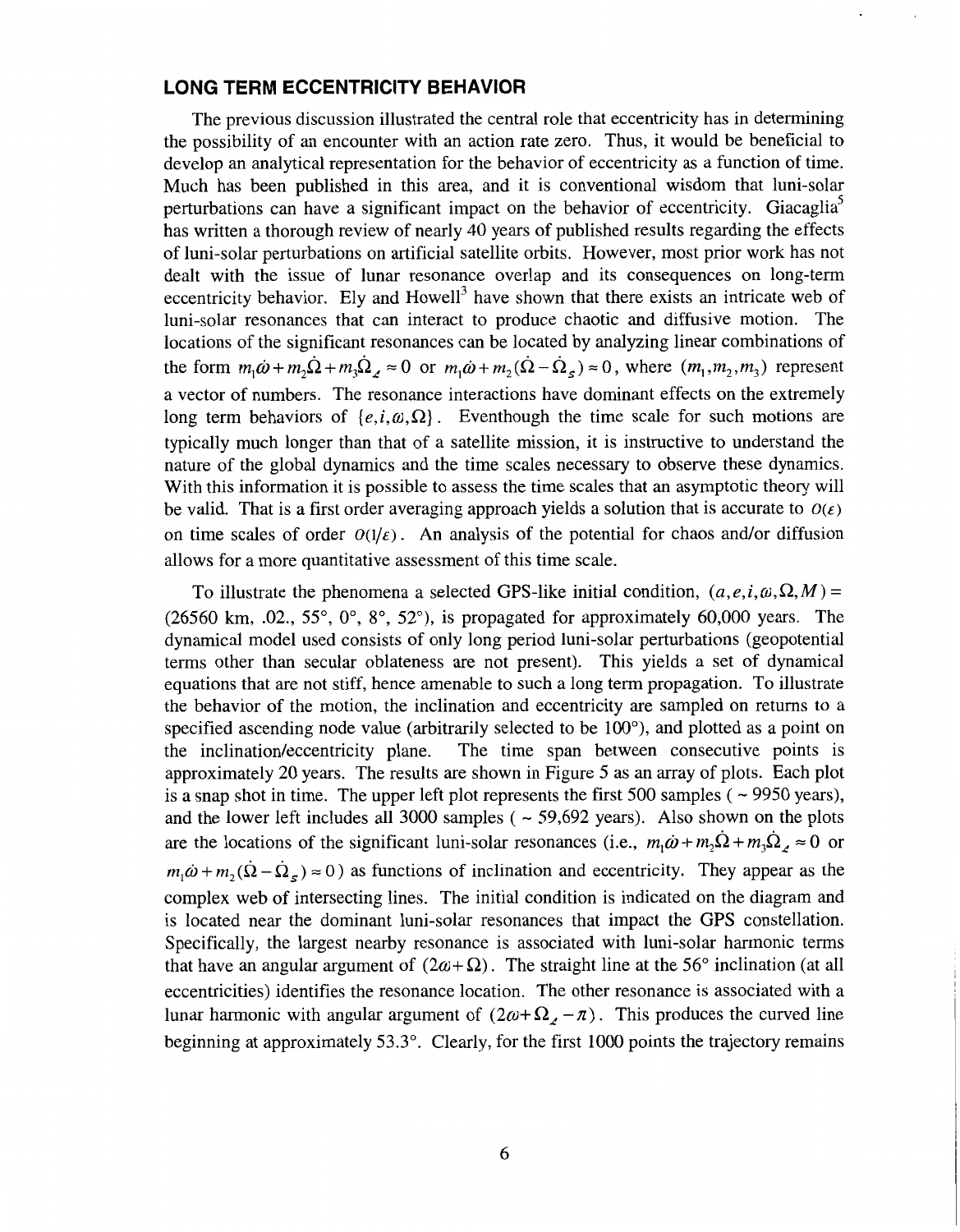### **LONG TERM ECCENTRICITY BEHAVIOR**

The previous discussion illustrated the central role that eccentricity has in determining the possibility of an encounter with an action rate zero. Thus, it would be beneficial to develop an analytical representation for the behavior of eccentricity as a function of time. Much has been published in this area, and it is conventional wisdom that luni-solar perturbations can have a significant impact on the behavior of eccentricity. Giacaglia' has written a thorough review of nearly 40 years of published results regarding the effects of luni-solar perturbations on artificial satellite orbits. However, most prior work has not dealt with the issue of lunar resonance overlap and its consequences on long-term eccentricity behavior. Ely and Howell<sup>3</sup> have shown that there exists an intricate web of luni-solar resonances that can interact to produce chaotic and diffusive motion. The locations of the significant resonances can be located by analyzing linear combinations of the form  $m_1\dot{\omega} + m_2\dot{\Omega} + m_3\dot{\Omega}$ ,  $\approx 0$  or  $m_1\dot{\omega} + m_2(\dot{\Omega} - \dot{\Omega}_s) \approx 0$ , where  $(m_1, m_2, m_3)$  represent a vector of numbers. The resonance interactions have dominant effects on the extremely long term behaviors of  $\{e, i, \omega, \Omega\}$ . Eventhough the time scale for such motions are typically much longer than that of a satellite mission, it is instructive to understand the nature of the global dynamics and the time scales necessary to observe these dynamics. With this information it is possible to assess the time scales that an asymptotic theory will be valid. That is a first order averaging approach yields a solution that is accurate to  $O(\epsilon)$ on time scales of order  $O(1/\varepsilon)$ . An analysis of the potential for chaos and/or diffusion allows for a more quantitative assessment of this time scale.

To illustrate the phenomena a selected GPS-like initial condition,  $(a, e, i, \omega, \Omega, M)$  = (26560 km, .02., 55 $^{\circ}$ , 0 $^{\circ}$ , 8 $^{\circ}$ , 52 $^{\circ}$ ), is propagated for approximately 60,000 years. The dynamical model used consists of only long period luni-solar perturbations (geopotential terms other than secular oblateness are not present). This yields a set of dynamical equations that are not stiff, hence amenable to such a long term propagation. To illustrate the behavior of the motion, the inclination and eccentricity are sampled on returns to a specified ascending node value (arbitrarily selected to be  $100^{\circ}$ ), and plotted as a point on the inclination/eccentricity plane. The time span between consecutive points is approximately 20 years. The results are shown in Figure 5 as an array of plots. Each plot is a snap shot in time. The upper left plot represents the first 500 samples ( $\sim$  9950 years), and the lower left includes all 3000 samples ( $\sim$  59,692 years). Also shown on the plots are the locations of the significant luni-solar resonances (i.e.,  $m_1\dot{\omega} + m_2\dot{\Omega} + m_3\dot{\Omega}$ ,  $\approx 0$  or  $m_1\dot{\omega} + m_2(\dot{\Omega} - \dot{\Omega}_s) \approx 0$ ) as functions of inclination and eccentricity. They appear as the complex web of intersecting lines. The initial condition is indicated on the diagram and is located near the dominant luni-solar resonances that impact the GPS constellation. Specifically, the largest nearby resonance is associated with luni-solar harmonic terms that have an angular argument of  $(2\omega + \Omega)$ . The straight line at the 56° inclination (at all eccentricities) identifies the resonance location. The other resonance is associated with a lunar harmonic with angular argument of  $(2\omega + \Omega_{\ell} - \pi)$ . This produces the curved line beginning at approximately 53.3". Clearly, for the first 1000 points the trajectory remains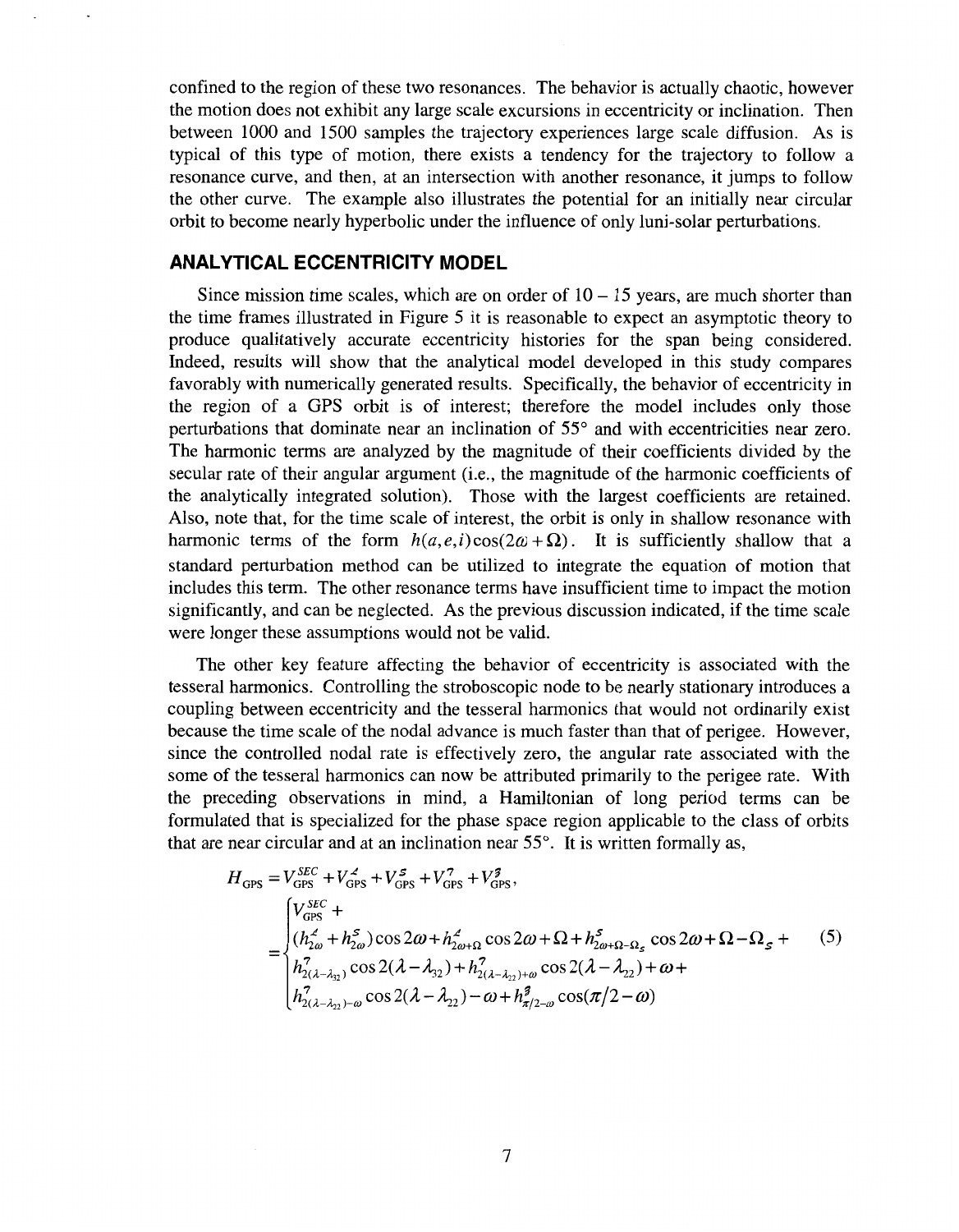confined to the region of these two resonances. The behavior is actually chaotic, however the motion does not exhibit any large scale excursions in eccentricity or inclination. Then between 1000 and 1500 samples the trajectory experiences large scale diffusion. As is typical of this type of motion, there exists a tendency for the trajectory to follow a resonance curve, and then, at an intersection with another resonance, it jumps to follow the other curve. The example also illustrates the potential for an initially near circular orbit to become nearly hyperbolic under the influence of only luni-solar perturbations.

## **ANALYTICAL ECCENTRICITY MODEL**

Since mission time scales, which are on order of  $10 - 15$  years, are much shorter than the time frames illustrated in Figure 5 it is reasonable to expect an asymptotic theory to produce qualitatively accurate eccentricity histories for the span being considered. Indeed, results will show that the analytical model developed in this study compares favorably with numerically generated results. Specifically, the behavior of eccentricity in the region of a GPS orbit is of interest; therefore the model includes only those perturbations that dominate near an inclination of 55° and with eccentricities near zero. The harmonic terms are analyzed by the magnitude of their coefficients divided by the secular rate of their angular argument (i.e., the magnitude of the harmonic coefficients of the analytically integrated solution). Those with the largest coefficients are retained. Also, note that, for the time scale of interest, the orbit is only in shallow resonance with harmonic terms of the form  $h(a, e, i) \cos(2\omega + \Omega)$ . It is sufficiently shallow that a standard perturbation method can be utilized to integrate the equation of motion that includes this term. The other resonance terms have insufficient time to impact the motion significantly, and can be neglected. **As** the previous discussion indicated, if the time scale were longer these assumptions would not be valid.

The other key feature affecting the behavior of eccentricity is associated with the tesseral harmonics. Controlling the stroboscopic node to be nearly stationary introduces a coupling between eccentricity and the tesseral harmonics that would not ordinarily exist because the time scale of the nodal advance is much faster than that of perigee. However, since the controlled nodal rate is effectively zero, the angular rate associated with the some of the tesseral harmonics can now be attributed primarily to the perigee rate. With the preceding observations in mind, a Hamiltonian of long period terms can be formulated that is specialized for the phase space region applicable to the class of orbits that are near circular and at an inclination near  $55^\circ$ . It is written formally as,

$$
H_{\text{GPS}} = V_{\text{GPS}}^{SEC} + V_{\text{GPS}}^{2} + V_{\text{GPS}}^{5} + V_{\text{GPS}}^{7} + V_{\text{GPS}}^{3},
$$
\n
$$
= \begin{cases}\nV_{\text{GPS}}^{SEC} + \\
(h_{\text{L}}^{2} + h_{\text{L}}^{5}) \cos 2\omega + h_{\text{L}}^{2} \cos 2\omega + \Omega + h_{\text{L}}^{5} \cos 2\omega + \Omega - \Omega_{\text{S}} + \\
h_{\text{L}}^{7} \sin 2\omega + h_{\text{L}}^{7} \cos 2(\lambda - \lambda_{\text{L}}^{3}) + h_{\text{L}}^{7} \sin 2\omega + \Omega_{\text{L}}^{7} \cos 2(\lambda - \lambda_{\text{L}}^{3}) + \omega + \\
h_{\text{L}}^{7} \sin 2\omega + \omega_{\text{L}}^{5} \cos 2(\lambda - \lambda_{\text{L}}^{3}) - \omega + h_{\text{L}}^{3} \cos 2(\lambda - \lambda_{\text{L}}^{3}) - \omega + \omega + \omega_{\text{L}}^{3} \cos 2(\lambda - \lambda_{\text{L}}^{3})\n\end{cases} (5)
$$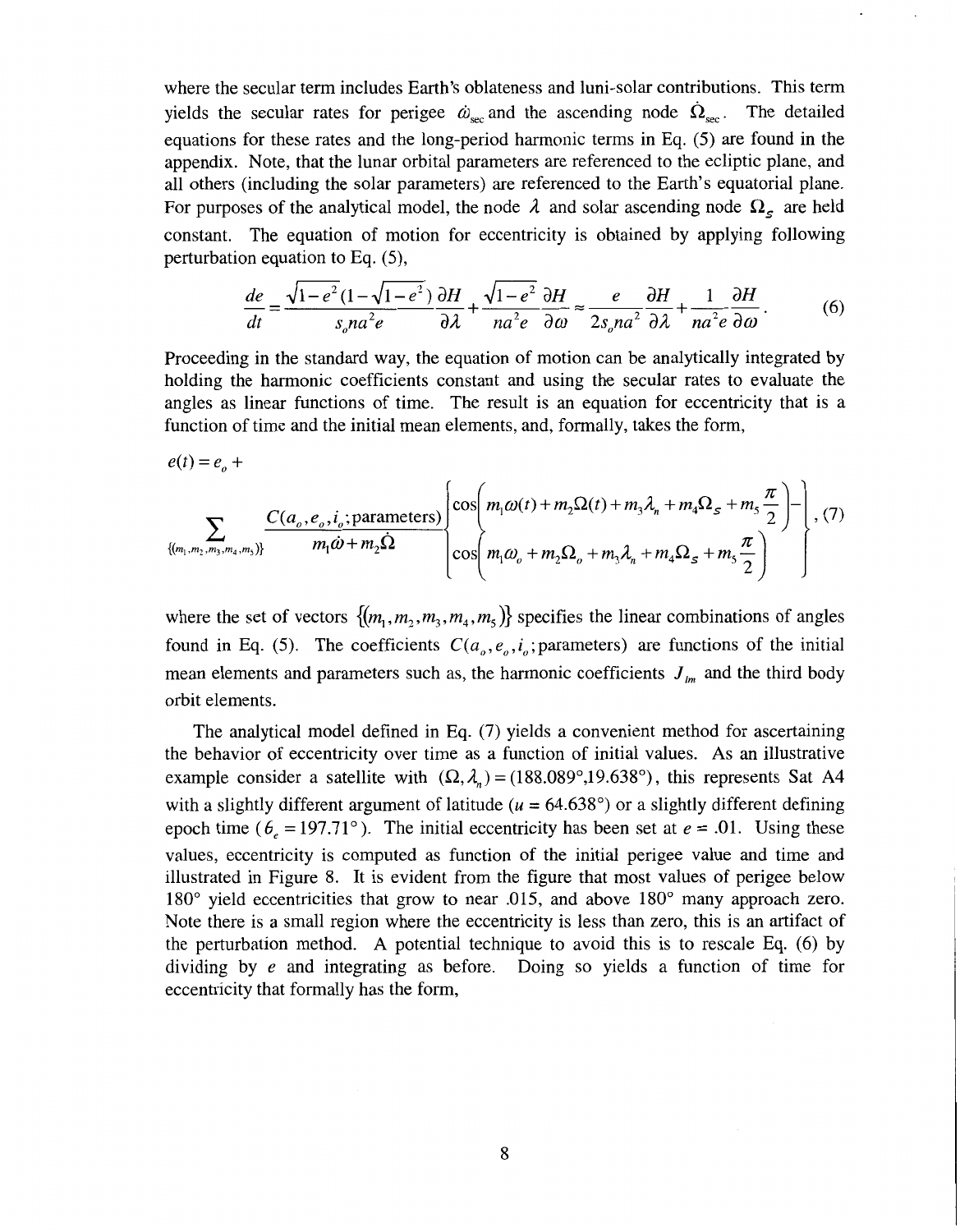where the secular term includes Earth's oblateness and luni-solar contributions. This term yields the secular rates for perigee  $\dot{\omega}_{\text{sec}}$  and the ascending node  $\dot{\Omega}_{\text{sec}}$ . The detailed equations for these rates and the long-period harmonic terms in Eq. (5) are found in the appendix. Note, that the lunar orbital parameters are referenced to the ecliptic plane, and all others (including the solar parameters) are referenced to the Earth's equatorial plane. For purposes of the analytical model, the node  $\lambda$  and solar ascending node  $\Omega_s$  are held constant. The equation of motion for eccentricity is obtained by applying following perturbation equation to **Eq.** (5),  $d\epsilon$  is of the analytical model, the node  $\lambda$  and solar ascending node  $\Omega_s$  are held<br>The equation of motion for eccentricity is obtained by applying following<br>n equation to Eq. (5),<br> $d\epsilon = \frac{\sqrt{1-e^2}(1-\sqrt{1-e^2})}{s_ona^2e} \frac{\partial$ 

on equation to Eq. (5),  
\n
$$
\frac{de}{dt} = \frac{\sqrt{1 - e^2}(1 - \sqrt{1 - e^2})}{s_o n a^2 e} \frac{\partial H}{\partial \lambda} + \frac{\sqrt{1 - e^2}}{n a^2 e} \frac{\partial H}{\partial \omega} \approx \frac{e}{2s_o n a^2} \frac{\partial H}{\partial \lambda} + \frac{1}{n a^2 e} \frac{\partial H}{\partial \omega}.
$$
\n(6)

Proceeding in the standard way, the equation of motion can be analytically integrated by holding the harmonic coefficients constant and using the secular rates to evaluate the angles as linear functions of time. The result is an equation for eccentricity that is a function of time and the initial mean elements, and, formally, takes the form,

$$
e(t) = e_o + \sum_{\{(m_1, m_2, m_3, m_4, m_5)\}} \frac{C(a_o, e_o, i_o; \text{parameters})}{m_1 \dot{\omega} + m_2 \dot{\Omega}} \left\{ \cos\left(m_1 \omega(t) + m_2 \Omega(t) + m_3 \lambda_n + m_4 \Omega_s + m_5 \frac{\pi}{2}\right) - \right\}, (7)
$$

where the set of vectors  $\{(m_1, m_2, m_3, m_4, m_5)\}$  specifies the linear combinations of angles found in Eq. (5). The coefficients  $C(a_0, e_0, i_0;$  parameters) are functions of the initial mean elements and parameters such as, the harmonic coefficients  $J_{lm}$  and the third body orbit elements.

The analytical model defined in Eq. (7) yields a convenient method for ascertaining the behavior of eccentricity over time as a function of initial values. **As** an illustrative example consider a satellite with  $(\Omega, \lambda) = (188.089^{\circ}, 19.638^{\circ})$ , this represents Sat A4 with a slightly different argument of latitude  $(u = 64.638^{\circ})$  or a slightly different defining epoch time ( $\theta_e = 197.71^\circ$ ). The initial eccentricity has been set at  $e = .01$ . Using these values, eccentricity is computed as function of the initial perigee value and time and illustrated in Figure 8. It is evident from the figure that most values of perigee below 180' yield eccentricities that grow to near .015, and above 180' many approach zero. Note there is a small region where the eccentricity is less than zero, this is an artifact of the perturbation method. **A** potential technique to avoid this is to rescale Eq. (6) by dividing by e and integrating as before. Doing so yields a function of time for eccentricity that formally has the form,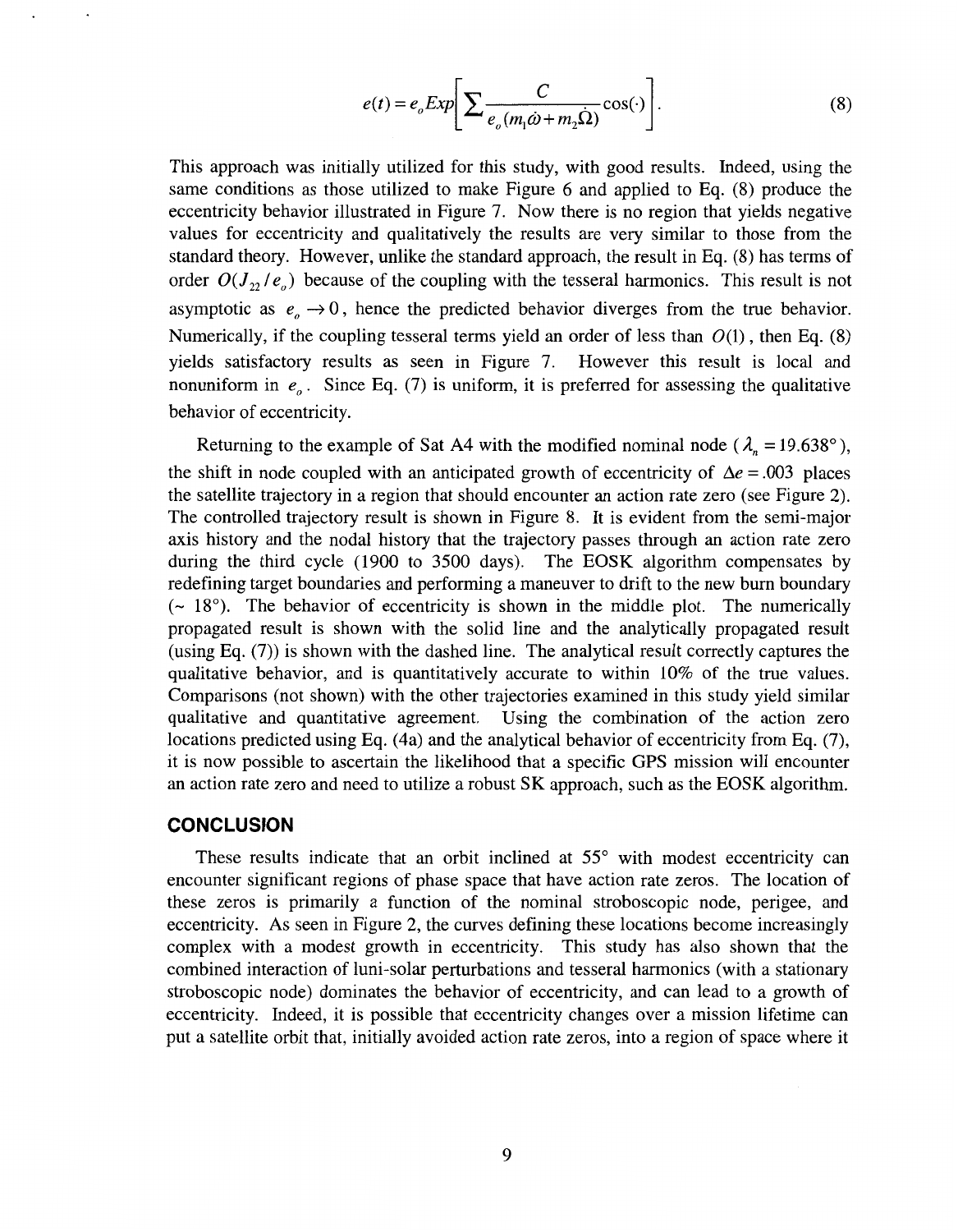$$
e(t) = e_o Exp \bigg[ \sum \frac{C}{e_o (m_1 \dot{\omega} + m_2 \dot{\Omega})} \cos(\cdot) \bigg].
$$
 (8)

<span id="page-8-0"></span>This approach was initially utilized for this study, with good results. Indeed, using the same conditions as those utilized to make Figure 6 and applied to Eq. (8) produce the eccentricity behavior illustrated in Figure 7. Now there is no region that yields negative values for eccentricity and qualitatively the results are very similar to those from the standard theory. However, unlike the standard approach, the result in Eq. (8) has terms of order  $O(J_{22}/e_{0})$  because of the coupling with the tesseral harmonics. This result is not asymptotic as  $e_{\rho} \rightarrow 0$ , hence the predicted behavior diverges from the true behavior. Numerically, if the coupling tesseral terms yield an order of less than  $O(1)$ , then Eq. (8) yields satisfactory results as een in Figure 7. However this result is local and nonuniform in  $e<sub>o</sub>$ . Since Eq. (7) is uniform, it is preferred for assessing the qualitative behavior of eccentricity.

Returning to the example of Sat A4 with the modified nominal node  $(\lambda_n = 19.638^\circ)$ , the shift in node coupled with an anticipated growth of eccentricity of  $\Delta e = .003$  places the satellite trajectory in a region that should encounter an action rate zero (see Figure *2).*  The controlled trajectory result is shown in Figure 8. It is evident from the semi-major axis history and the nodal history that the trajectory passes through an action rate zero during the third cycle (1900 to 3500 days). The EOSK algorithm compensates by redefining target boundaries and performing a maneuver to drift to the new bum boundary  $({\sim 18^{\circ}})$ . The behavior of eccentricity is shown in the middle plot. The numerically propagated result is shown with the solid line and the analytically propagated result (using Eq. (7)) is shown with the dashed line. The analytical result correctly captures the qualitative behavior, and is quantitatively accurate to within 10% of the true values. Comparisons (not shown) with the other trajectories examined in this study yield similar qualitative and quantitative agreement. Using the combination of the action zero locations predicted using Eq. (4a) and the analytical behavior of eccentricity from Eq. **(7),**  it is now possible to ascertain the likelihood that a specific **GPS** mission will encounter an action rate zero and need to utilize a robust SK approach, such as the EOSK algorithm.

#### **CONCLUSION**

These results indicate that an orbit inclined at  $55^{\circ}$  with modest eccentricity can encounter significant regions of phase space that have action rate zeros. The location of these zeros is primarily a function of the nominal stroboscopic node, perigee, and eccentricity. **As** seen in Figure 2, the curves defining these locations become increasingly complex with a modest growth in eccentricity. This study has also shown that the combined interaction of luni-solar perturbations and tesseral harmonics (with a stationary stroboscopic node) dominates the behavior of eccentricity, and can lead to a growth of eccentricity. Indeed, it is possible that eccentricity changes over a mission lifetime can put a satellite orbit that, initially avoided action rate zeros, into a region of space where it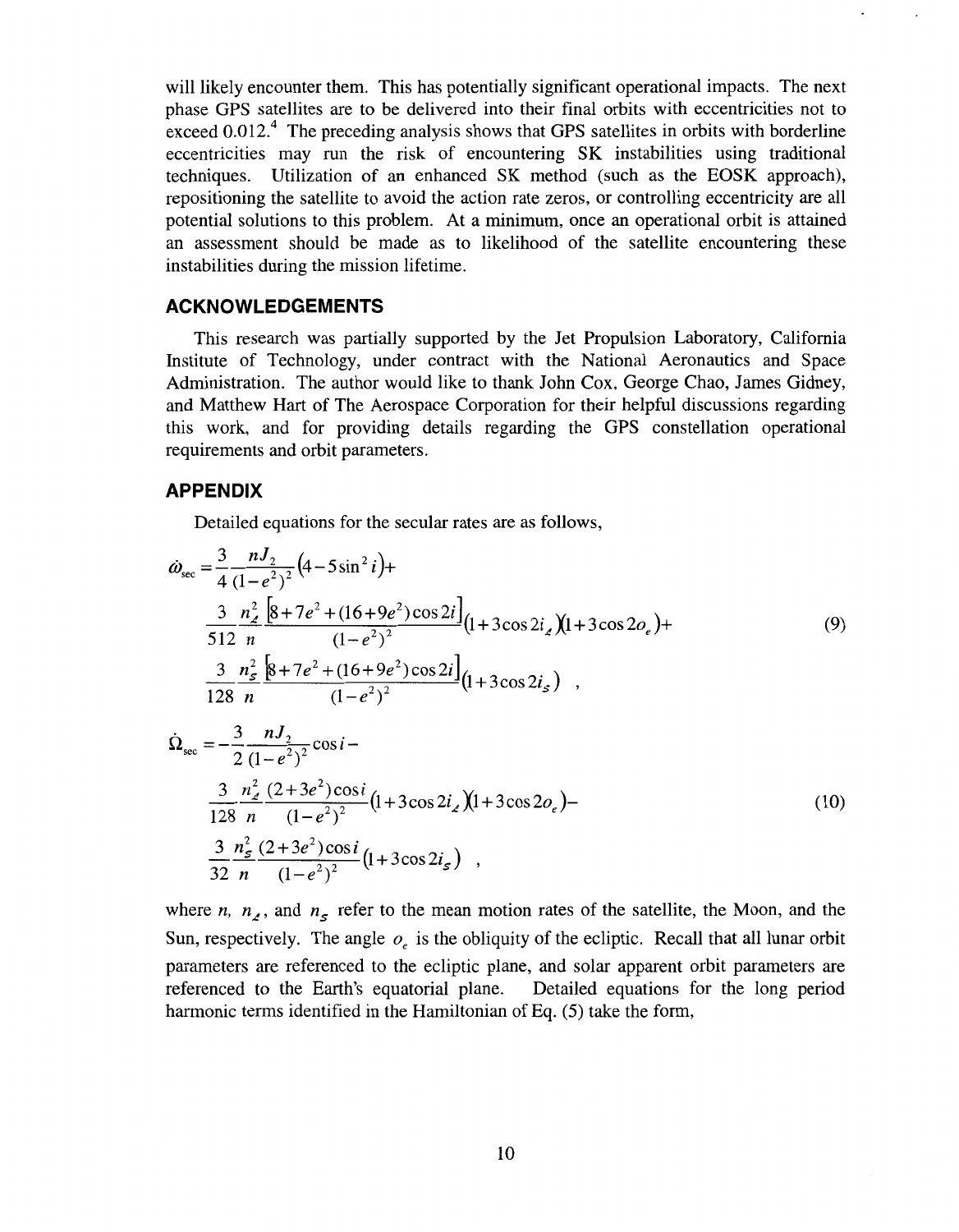will likely encounter them. This has potentially significant operational impacts. The next phase GPS satellites are to be delivered into their final orbits with eccentricities not to exceed  $0.012<sup>4</sup>$ . The preceding analysis shows that GPS satellites in orbits with borderline eccentricities may run the risk of encountering SK instabilities using traditional techniques. Utilization of an enhanced SK method (such as the EOSK approach), repositioning the satellite to avoid the action rate zeros, or controlling eccentricity are all potential solutions to this problem. At a minimum, once an operational orbit is attained an assessment should be made as to likelihood of the satellite encountering these instabilities during the mission lifetime.

#### **ACKNOWLEDGEMENTS**

This research was partially supported by the Jet Propulsion Laboratory, California Institute of Technology, under contract with the National Aeronautics and Space Administration. The author would like to thank John Cox, George Chao, James Gidney, and Matthew Hart of The Aerospace Corporation for their helpful discussions regarding this work, and for providing details regarding the GPS constellation operational requirements and orbit parameters.

#### **APPENDIX**

Detailed equations for the secular rates are as follows,

**APPENDIX**  
\nDetailsed equations for the secular rates are as follows,  
\n
$$
\omega_{\text{sec}} = \frac{3}{4} \frac{nJ_2}{(1-e^2)^2} (4-5\sin^2 i) +
$$
\n
$$
\frac{3}{512} \frac{n_Z^2}{n} \frac{[8+7e^2+(16+9e^2)\cos 2i]}{(1-e^2)^2} (1+3\cos 2i_Z)(1+3\cos 2o_e) +
$$
\n
$$
\frac{3}{128} \frac{n_Z^2}{n} \frac{[8+7e^2+(16+9e^2)\cos 2i]}{(1-e^2)^2} (1+3\cos 2i_S) ,
$$
\n
$$
\dot{\Omega}_{\text{sec}} = -\frac{3}{2} \frac{nJ_2}{(1-e^2)^2} \cos i -
$$
\n
$$
\frac{3}{128} \frac{n_Z^2}{n} \frac{(2+3e^2)\cos i}{(1-e^2)^2} (1+3\cos 2i_Z)(1+3\cos 2o_e) -
$$
\n
$$
\frac{3}{32} \frac{n_Z^2}{n} \frac{(2+3e^2)\cos i}{(1-e^2)^2} (1+3\cos 2i_S) ,
$$
\n(10)

where *n,*  $n_a$ , and  $n_s$  refer to the mean motion rates of the satellite, the Moon, and the Sun, respectively. The angle *0,* is the obliquity of the ecliptic. Recall that all lunar orbit parameters are referenced to the ecliptic plane, and solar apparent orbit parameters are referenced to the Earth's equatorial plane. Detailed equations for the long period harmonic terms identified in the Hamiltonian of Eq. (5) take the form,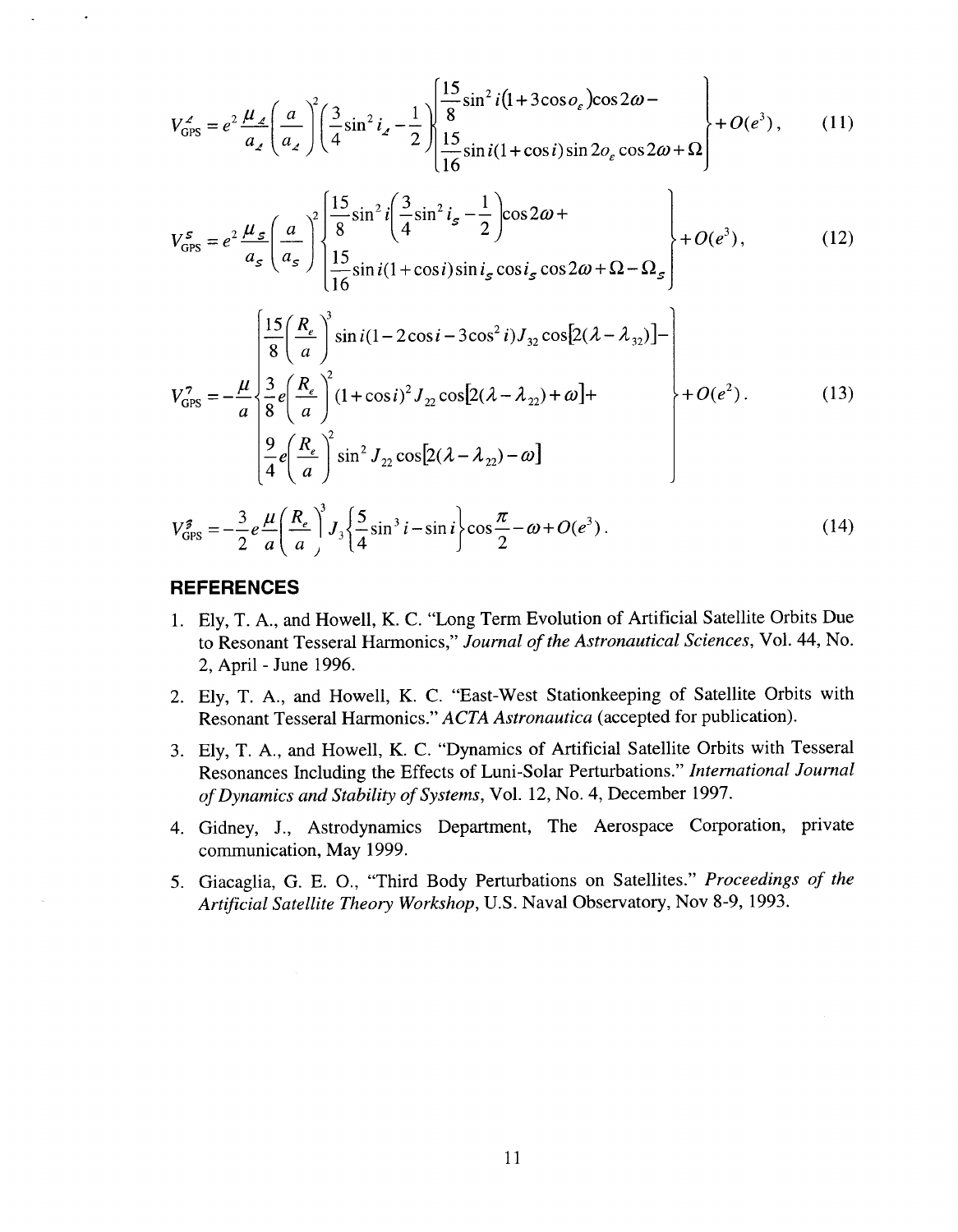$$
V_{\text{GPS}}^2 = e^2 \frac{\mu_2}{a_2} \left( \frac{a}{a_2} \right)^2 \left( \frac{3}{4} \sin^2 i_2 - \frac{1}{2} \right) \begin{cases} \frac{15}{8} \sin^2 i (1 + 3 \cos \varrho_\varepsilon) \cos 2\omega - \\ \frac{15}{16} \sin i (1 + \cos i) \sin 2\varrho_\varepsilon \cos 2\omega + \Omega \end{cases} + O(e^3), \quad (11)
$$

$$
V_{\text{GPS}}^s = e^2 \frac{\mu_s}{a_s} \left( \frac{a}{a_s} \right)^2 \begin{cases} \frac{15}{8} \sin^2 i \left( \frac{3}{4} \sin^2 i_s - \frac{1}{2} \right) \cos 2\omega + \\ \frac{15}{16} \sin i (1 + \cos i) \sin i_s \cos i_s \cos 2\omega + \Omega - \Omega_s \end{cases} + O(e^3), \quad (12)
$$

$$
V_{GPS}^7 = -\frac{\mu}{a} \begin{cases} \frac{15}{8} \left( \frac{R_e}{a} \right)^3 \sin i (1 - 2 \cos i - 3 \cos^2 i) J_{32} \cos [2(\lambda - \lambda_{32})] - \\ \frac{3}{8} e \left( \frac{R_e}{a} \right)^2 (1 + \cos i)^2 J_{22} \cos [2(\lambda - \lambda_{22}) + \omega] + \\ \frac{9}{4} e \left( \frac{R_e}{a} \right)^2 \sin^2 J_{22} \cos [2(\lambda - \lambda_{22}) - \omega] \end{cases} + O(e^2).
$$
 (13)

$$
V_{\rm GPS}^{\sharp} = -\frac{3}{2} e \frac{\mu}{a} \left( \frac{R_e}{a} \right)^3 J_3 \left\{ \frac{5}{4} \sin^3 i - \sin i \right\} \cos \frac{\pi}{2} - \omega + O(e^3) \,. \tag{14}
$$

## **REFERENCES**

- 1. Ely, T. A., and Howell, K. **C.** "Long Term Evolution of Artificial Satellite Orbits Due to Resonant Tesseral Harmonics," *Journal of the Astronautical Sciences,* Vol. **44,** No. 2, April - June 1996.
- 2. Ely, T. **A.,** and Howell, K. **C.** "East-West Stationkeeping of Satellite Orbits with Resonant Tesseral Harmonics." *ACTA Astronautica* (accepted for publication).
- 3. Ely, T. A., and Howell, K. **C.** "Dynamics of Artificial Satellite Orbits with Tesseral Resonances Including the Effects of Luni-Solar Perturbations." *International Journal of Dynamics and Stability of Systems,* Vol. 12, No. **4,** December 1997.
- **4.** Gidney, J., Astrodynamics Department, The Aerospace Corporation, private communication, May 1999.
- 5. Giacaglia, G. E. O., "Third Body Perturbations on Satellites." *Proceedings of the Artificial Satellite Theory Workshop,* U.S. Naval Observatory, Nov 8-9, 1993.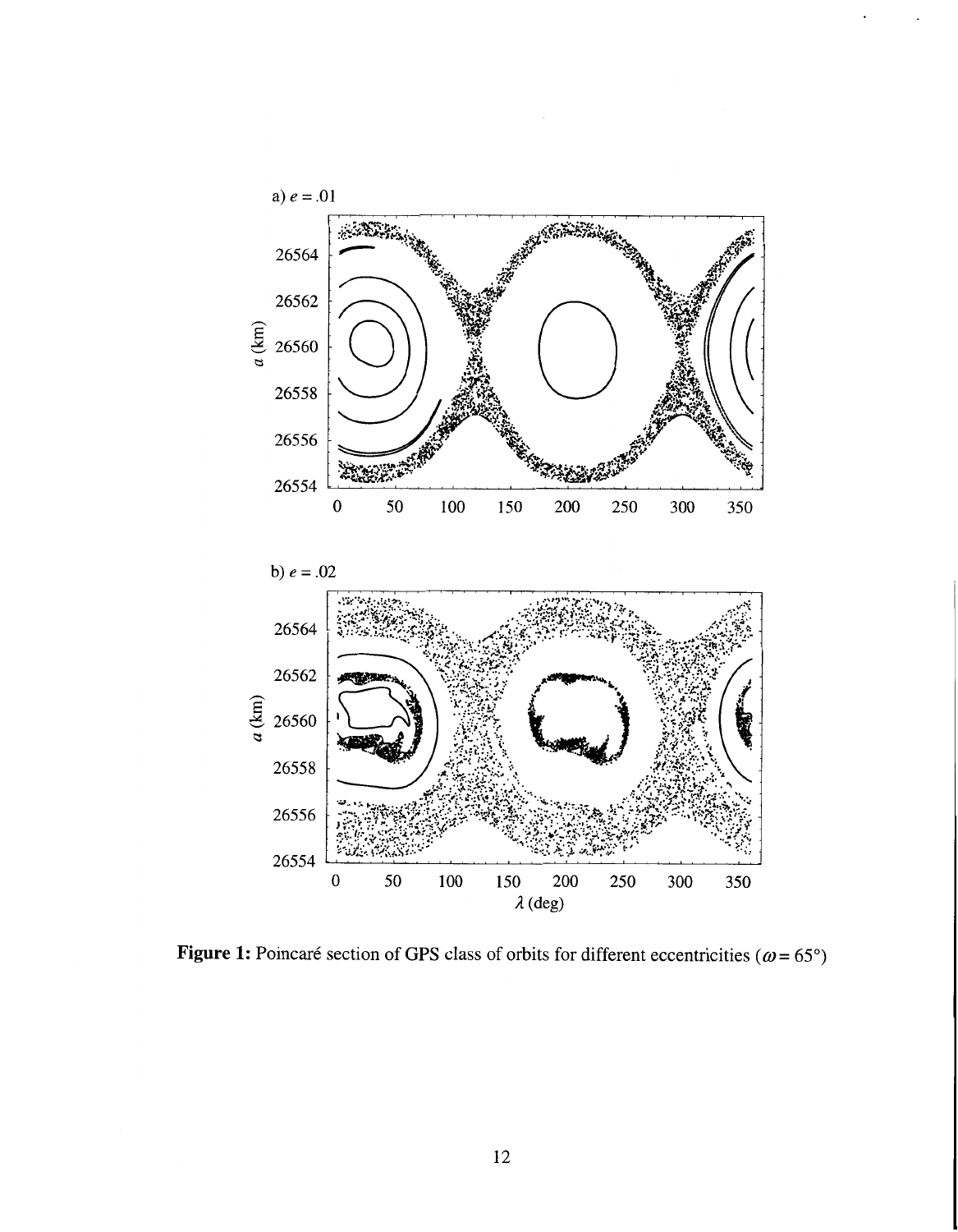



Figure 1: Poincaré section of GPS class of orbits for different eccentricities ( $\omega$  = 65°)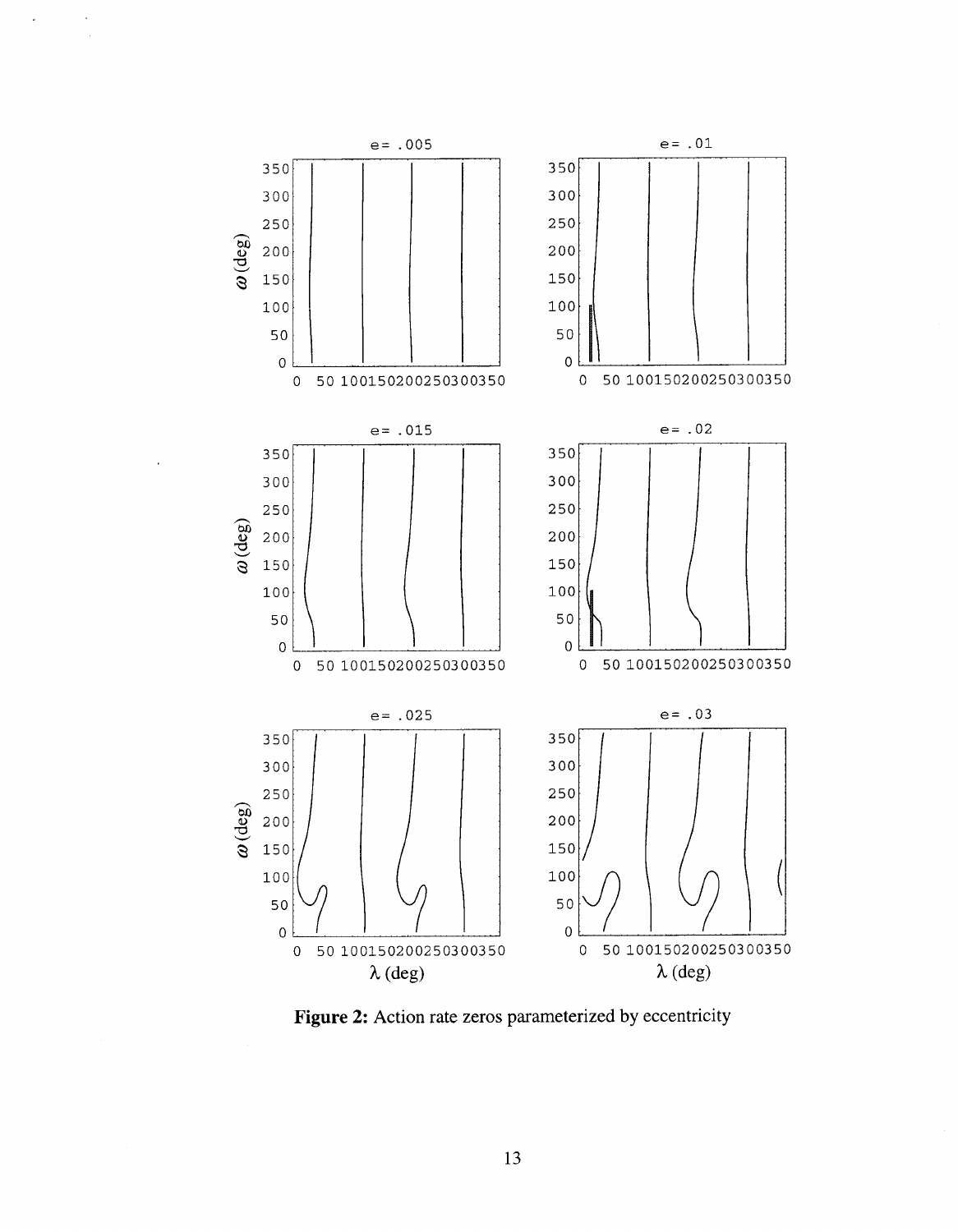

 $\bar{\mathcal{A}}$ 

 $\mathbf{r}$ 

Figure 2: Action rate zeros parameterized by eccentricity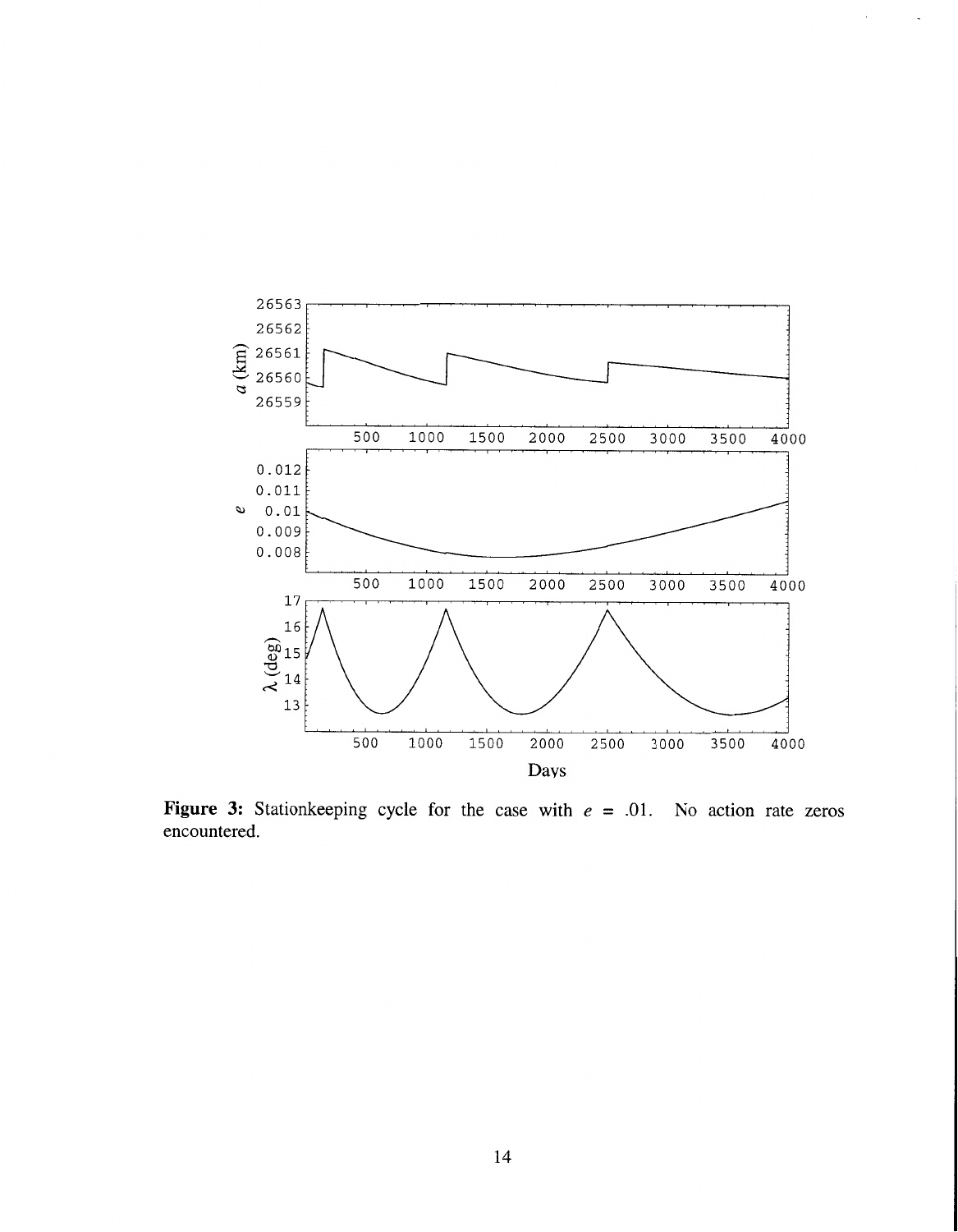

 $\epsilon$ 

 $\bar{z}$ 

**Figure 3:** Stationkeeping cycle for the case with  $e = .01$ . No action rate zeros encountered.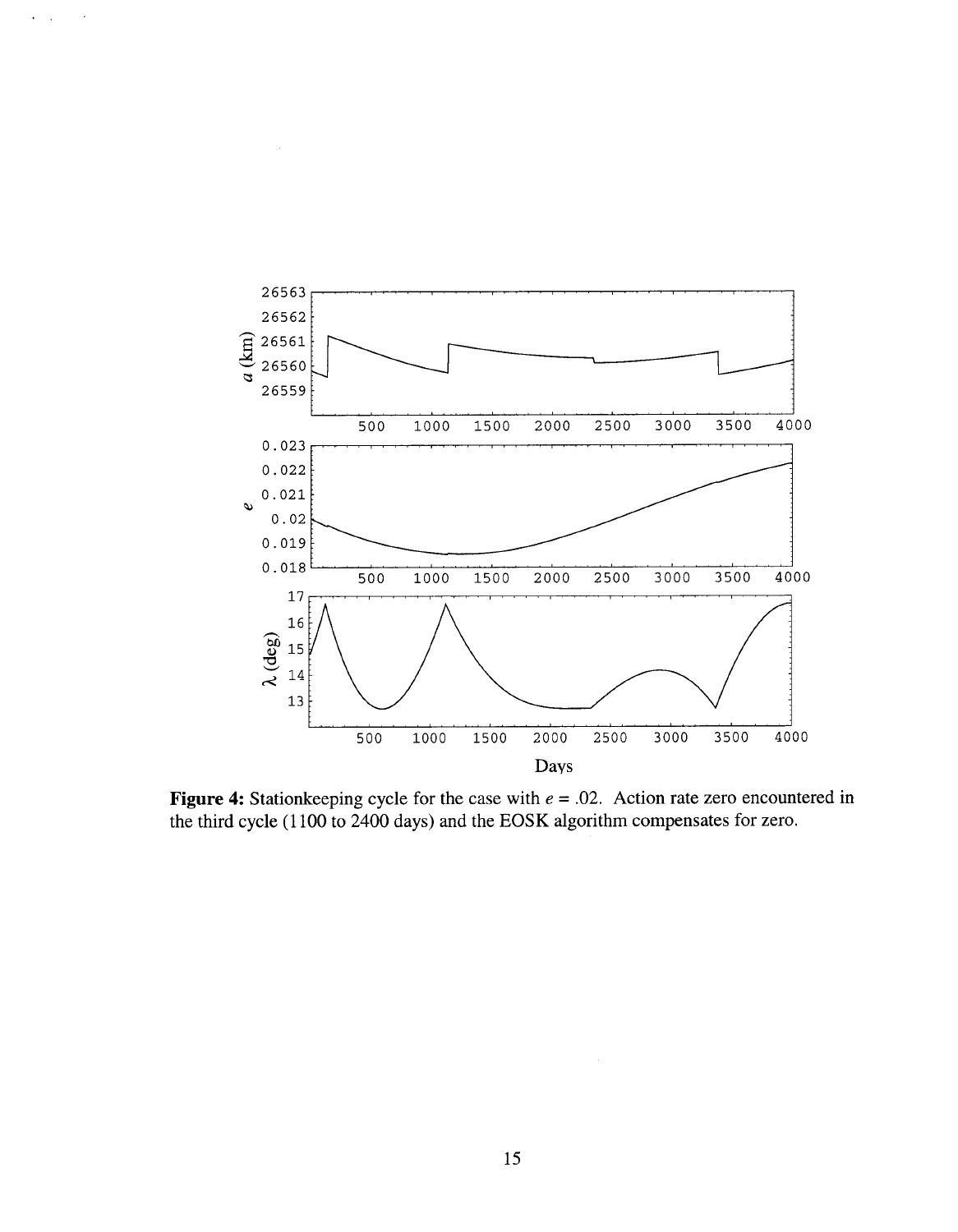

 $\mathbf{v}^{\left(1\right)}$  ,

 $\bar{\mathcal{A}}$ 

**Figure 4:** Stationkeeping cycle for the case with  $e = .02$ . Action rate zero encountered in **the third cycle** (1 100 **to** 2400 **days) and the** EOSK **algorithm compensates for zero.**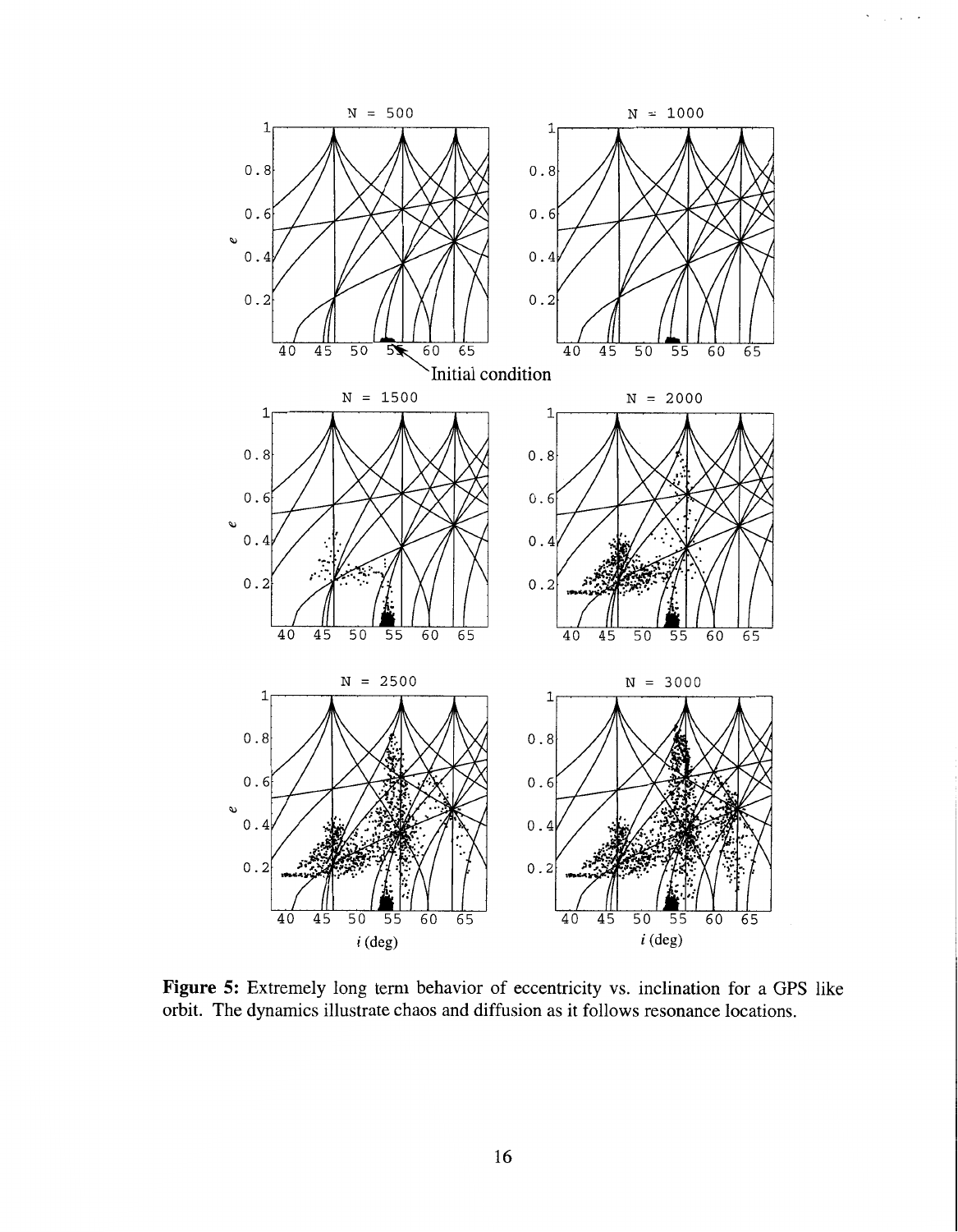

 $\hat{\mathcal{A}}$ 

 $\frac{1}{2}$  ,  $\frac{1}{2}$  ,  $\frac{1}{2}$ 

Figure 5: Extremely long term behavior of eccentricity vs. inclination for a GPS like orbit. The dynamics illustrate chaos and diffusion as it follows resonance locations.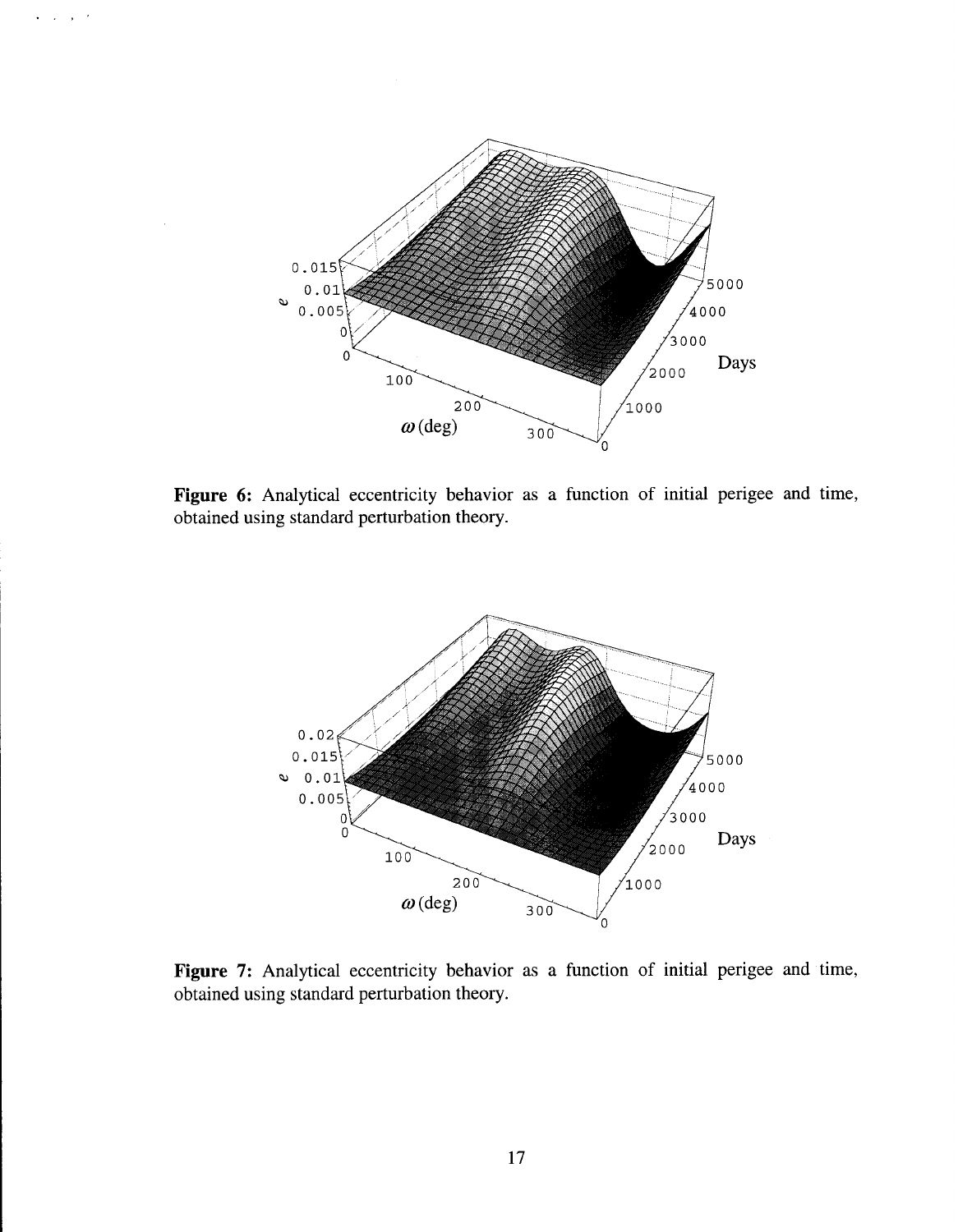

Figure 6: Analytical eccentricity behavior as a function of initial perigee and time, obtained using standard perturbation theory.



Figure 7: Analytical eccentricity behavior as a function of initial perigee and time, obtained using standard perturbation theory.